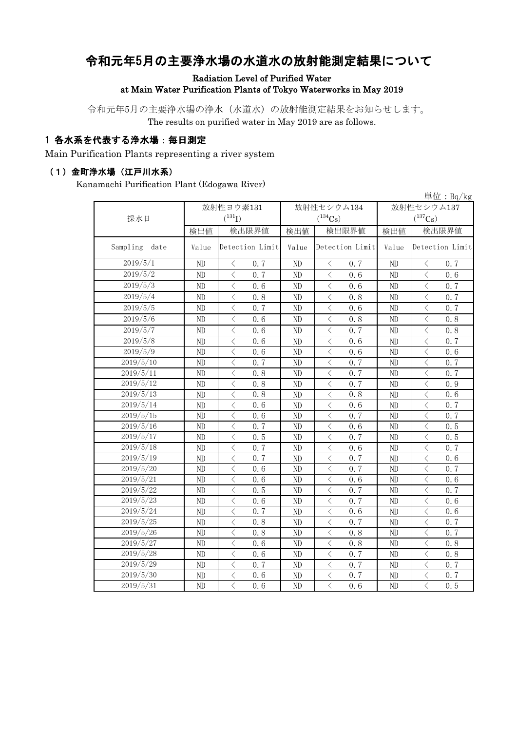# 令和元年5月の主要浄水場の水道水の放射能測定結果について

#### Radiation Level of Purified Water at Main Water Purification Plants of Tokyo Waterworks in May 2019

令和元年5月の主要浄水場の浄水(水道水)の放射能測定結果をお知らせします。 The results on purified water in May 2019 are as follows.

#### 1 各水系を代表する浄水場:毎日測定

Main Purification Plants representing a river system

#### (1)金町浄水場(江戸川水系)

Kanamachi Purification Plant (Edogawa River)

|                  |                |                                                 |                          |                                                  |            | 単位: $Bq/kg$                                      |  |
|------------------|----------------|-------------------------------------------------|--------------------------|--------------------------------------------------|------------|--------------------------------------------------|--|
|                  |                | 放射性ヨウ素131                                       |                          | 放射性セシウム134                                       | 放射性セシウム137 |                                                  |  |
| 採水日              |                | $({}^{131}\text{I})$                            |                          | $(^{134}\mathrm{Cs})$                            |            | $(^{137}\mathrm{Cs})$                            |  |
|                  | 検出値            | 検出限界値                                           | 検出値                      | 検出限界値                                            | 検出値        | 検出限界値                                            |  |
| Sampling<br>date | Value          | Detection Limit                                 | Detection Limit<br>Value |                                                  | Value      | Detection Limit                                  |  |
| 2019/5/1         | ND             | 0.7<br>$\lt$                                    | ND                       | $\, <\,$<br>0.7                                  | ND         | $\lt$<br>0.7                                     |  |
| 2019/5/2         | ND             | $\langle$<br>0.7                                | ND                       | $\lt$<br>0.6                                     | ND         | $\lt$<br>0.6                                     |  |
| 2019/5/3         | ND             | $\langle$<br>0.6                                | ND                       | 0.6<br>$\lt$                                     | ND         | $\langle$<br>0.7                                 |  |
| 2019/5/4         | ND             | $\langle$<br>0.8                                | ND                       | $\lt$<br>0.8                                     | ND         | $\langle$<br>0.7                                 |  |
| 2019/5/5         | ND             | $\langle$<br>0.7                                | ND                       | $\overline{\left\langle \right\rangle }$<br>0.6  | ND         | $\langle$<br>0.7                                 |  |
| 2019/5/6         | ND             | $\overline{\langle}$<br>0.6                     | ND                       | $\overline{\left\langle \right\rangle }$<br>0.8  | ND         | $\overline{\langle}$<br>0.8                      |  |
| 2019/5/7         | ND             | $\langle$<br>0.6                                | ND                       | $\langle$<br>0.7                                 | ND         | $\langle$<br>0.8                                 |  |
| 2019/5/8         | ND             | $\lt$<br>0.6                                    | ND                       | $\langle$<br>0.6                                 | ND         | $\langle$<br>0, 7                                |  |
| 2019/5/9         | ND             | $\langle$<br>0.6                                | ND                       | $\overline{\left\langle \right\rangle }$<br>0.6  | ND         | $\langle$<br>0.6                                 |  |
| 2019/5/10        | N <sub>D</sub> | $\langle$<br>0.7                                | ND                       | $\langle$<br>0.7                                 | ND         | $\langle$<br>0.7                                 |  |
| 2019/5/11        | ND             | $\langle$<br>0.8                                | ND                       | $\overline{\left\langle \right\rangle }$<br>0.7  | ND         | $\langle$<br>0.7                                 |  |
| 2019/5/12        | N <sub>D</sub> | $\overline{\left\langle \right\rangle }$<br>0.8 | ND                       | $\langle$<br>0.7                                 | ND         | $\langle$<br>0.9                                 |  |
| 2019/5/13        | ND             | $\overline{\left\langle \right\rangle }$<br>0.8 | ND                       | $\overline{\left\langle \right\rangle }$<br>0.8  | ND         | $\overline{\left\langle \right\rangle }$<br>0.6  |  |
| 2019/5/14        | N <sub>D</sub> | $\langle$<br>0, 6                               | ND                       | $\langle$<br>0.6                                 | ND         | $\langle$<br>0, 7                                |  |
| 2019/5/15        | ND             | $\langle$<br>0.6                                | ND                       | $\langle$<br>0, 7                                | ND         | $\langle$<br>0, 7                                |  |
| 2019/5/16        | ND             | $\overline{\left\langle \right\rangle }$<br>0.7 | ND                       | $\overline{\left\langle \right\rangle }$<br>0.6  | ND         | $\langle$<br>0.5                                 |  |
| 2019/5/17        | N <sub>D</sub> | $\lt$<br>0.5                                    | ND                       | $\lt$<br>0, 7                                    | ND         | $\langle$<br>0.5                                 |  |
| 2019/5/18        | ND             | $\overline{\left\langle \right\rangle }$<br>0.7 | ND                       | $\overline{\left\langle \right\rangle }$<br>0.6  | ND         | $\overline{\left\langle \right\rangle }$<br>0, 7 |  |
| 2019/5/19        | N <sub>D</sub> | $\langle$<br>0.7                                | N <sub>D</sub>           | $\lt$<br>0, 7                                    | ND         | $\langle$<br>0.6                                 |  |
| 2019/5/20        | ND             | $\lt$<br>0.6                                    | ND                       | $\lt$<br>0.7                                     | ND         | $\langle$<br>0, 7                                |  |
| 2019/5/21        | ND             | $\langle$<br>0.6                                | ND                       | $\overline{\left\langle \right\rangle }$<br>0.6  | ND         | $\langle$<br>0.6                                 |  |
| 2019/5/22        | ND             | $\lt$<br>0.5                                    | ND                       | $\lt$<br>0.7                                     | ND         | $\langle$<br>0, 7                                |  |
| 2019/5/23        | ND             | $\overline{\left\langle \right\rangle }$<br>0.6 | ND                       | $\overline{\left\langle \right\rangle }$<br>0.7  | ND         | $\overline{\left\langle \right\rangle }$<br>0.6  |  |
| 2019/5/24        | ND             | $\lt$<br>0.7                                    | ND                       | $\lt$<br>0.6                                     | ND         | $\langle$<br>0.6                                 |  |
| 2019/5/25        | ND             | $\lt$<br>0.8                                    | ND                       | $\lt$<br>0.7                                     | ND         | $\langle$<br>0.7                                 |  |
| 2019/5/26        | ND             | $\langle$<br>0.8                                | ND                       | $\overline{\left\langle \right\rangle }$<br>0.8  | ND         | $\langle$<br>0, 7                                |  |
| 2019/5/27        | ND             | $\lt$<br>0.6                                    | ND                       | $\langle$<br>0.8                                 | ND         | $\langle$<br>0.8                                 |  |
| 2019/5/28        | ND             | $\langle$<br>0.6                                | ND                       | $\langle$<br>0.7                                 | ND         | $\langle$<br>0.8                                 |  |
| 2019/5/29        | ND             | $\lt$<br>0.7                                    | ND                       | $\langle$<br>0.7                                 | ND         | $\langle$<br>0.7                                 |  |
| 2019/5/30        | ND             | $\overline{\left\langle \right\rangle }$<br>0.6 | ND                       | $\lt$<br>0.7                                     | ND         | $\langle$<br>0.7                                 |  |
| 2019/5/31        | ND             | $\langle$<br>0.6                                | ND                       | $\overline{\left\langle \right\rangle }$<br>0, 6 | ND         | $\langle$<br>0.5                                 |  |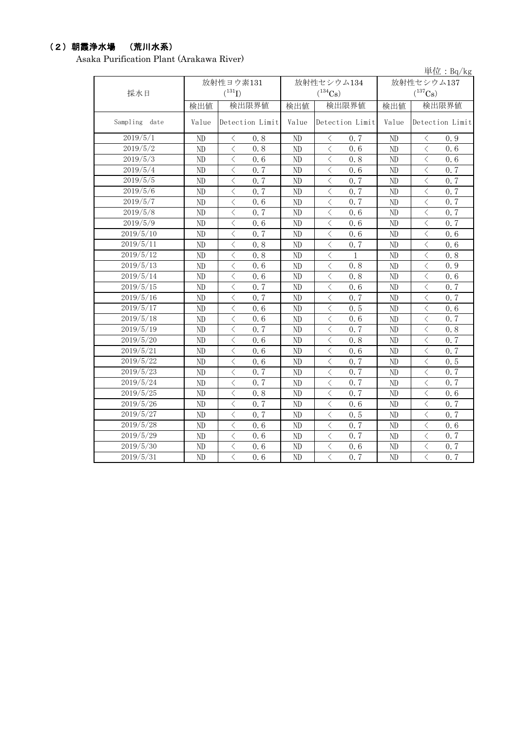## (2)朝霞浄水場 (荒川水系)

Asaka Purification Plant (Arakawa River)

|                  |                |                                                  |       |                                                  |              | 単位: $Bq/kg$                                     |  |  |
|------------------|----------------|--------------------------------------------------|-------|--------------------------------------------------|--------------|-------------------------------------------------|--|--|
|                  |                | 放射性ヨウ素131                                        |       | 放射性セシウム134                                       | 放射性セシウム137   |                                                 |  |  |
| 採水日              |                | $(^{131}I)$                                      |       | $(^{134}Cs)$                                     | $(^{137}Cs)$ |                                                 |  |  |
|                  | 検出値            | 検出限界値                                            | 検出値   | 検出限界値                                            | 検出値          | 検出限界値                                           |  |  |
| Sampling<br>date | Value          | Detection Limit                                  | Value | Detection Limit                                  | Value        | Detection Limit                                 |  |  |
| 2019/5/1         | ND             | $\hspace{0.1mm} <\hspace{0.1mm}$<br>0.8          | ND    | $\langle$<br>0.7                                 | ND           | $\langle$<br>0.9                                |  |  |
| 2019/5/2         | ND             | $\,$ $\,$ $\,$<br>0.8                            | ND    | $\overline{\left\langle \right\rangle }$<br>0.6  | ND           | $\langle$<br>0.6                                |  |  |
| 2019/5/3         | ND             | $\,$ $\,$ $\,$<br>0.6                            | ND    | 0.8<br>$\lt$                                     | ND           | $\langle$<br>0.6                                |  |  |
| 2019/5/4         | ND             | $\langle$<br>0.7                                 | ND    | $\langle$<br>0.6                                 | ND           | $\langle$<br>0.7                                |  |  |
| 2019/5/5         | ND             | $\langle$<br>0.7                                 | ND    | $\lt$<br>0.7                                     | ND           | $\langle$<br>0.7                                |  |  |
| 2019/5/6         | ND             | $\langle$<br>0.7                                 | ND    | $\lt$<br>0.7                                     | ND           | $\langle$<br>0, 7                               |  |  |
| 2019/5/7         | ND             | $\lt$<br>0.6                                     | ND    | $\langle$<br>0.7                                 | ND           | $\langle$<br>0.7                                |  |  |
| 2019/5/8         | ND             | $\langle$<br>0.7                                 | ND    | $\lt$<br>0.6                                     | ND           | $\langle$<br>0.7                                |  |  |
| 2019/5/9         | ND             | $\lt$<br>0.6                                     | ND    | $\langle$<br>0.6                                 | $\rm ND$     | $\lt$<br>0.7                                    |  |  |
| 2019/5/10        | ND             | $\langle$<br>0, 7                                | ND    | $\lt$<br>0.6                                     | ND           | $\lt$<br>0.6                                    |  |  |
| 2019/5/11        | ND             | $\langle$<br>0.8                                 | ND    | $\lt$<br>0, 7                                    | ND           | $\lt$<br>0.6                                    |  |  |
| 2019/5/12        | ND             | $\langle$<br>0.8                                 | ND    | $\lt$<br>1                                       | ND           | $\lt$<br>0.8                                    |  |  |
| 2019/5/13        | N <sub>D</sub> | $\langle$<br>0.6                                 | ND    | $\lt$<br>0.8                                     | ND           | $\langle$<br>0.9                                |  |  |
| 2019/5/14        | ND             | $\lt$<br>0.6                                     | ND    | $\langle$<br>0.8                                 | ND           | $\langle$<br>0.6                                |  |  |
| 2019/5/15        | ND             | $\langle$<br>0.7                                 | ND    | $\langle$<br>0.6                                 | ND           | $\langle$<br>0.7                                |  |  |
| 2019/5/16        | ND             | $\langle$<br>0.7                                 | ND    | $\lt$<br>0.7                                     | ND           | $\lt$<br>0.7                                    |  |  |
| 2019/5/17        | ND             | $\langle$<br>0, 6                                | ND    | $\overline{\left\langle \right\rangle }$<br>0.5  | ND           | $\langle$<br>0, 6                               |  |  |
| 2019/5/18        | ND             | $\langle$<br>0.6                                 | ND    | $\lt$<br>0, 6                                    | ND           | $\langle$<br>0.7                                |  |  |
| 2019/5/19        | ND             | $\langle$<br>0.7                                 | ND    | $\lt$<br>0, 7                                    | ND           | $\lt$<br>0.8                                    |  |  |
| 2019/5/20        | ND             | $\overline{\left\langle \right\rangle }$<br>0.6  | ND    | $\overline{\left\langle \right\rangle }$<br>0.8  | ND           | $\langle$<br>0.7                                |  |  |
| 2019/5/21        | ND             | $\overline{\langle}$<br>0.6                      | ND    | $\overline{\left\langle \right\rangle }$<br>0.6  | ND           | $\langle$<br>0.7                                |  |  |
| 2019/5/22        | ND             | $\lt$<br>0.6                                     | ND    | $\lt$<br>0.7                                     | ND           | $\langle$<br>0.5                                |  |  |
| 2019/5/23        | ND             | $\langle$<br>0.7                                 | ND    | 0, 7<br>$\langle$                                | ND           | $\langle$<br>0.7                                |  |  |
| 2019/5/24        | ND             | $\langle$<br>0, 7                                | ND    | $\langle$<br>0, 7                                | ND           | $\langle$<br>0.7                                |  |  |
| 2019/5/25        | ND             | $\langle$<br>0.8                                 | ND    | $\langle$<br>0.7                                 | ND           | $\langle$<br>0.6                                |  |  |
| 2019/5/26        | ND             | 0.7<br>$\langle$                                 | ND    | $\langle$<br>0.6                                 | ND           | $\lt$<br>0.7                                    |  |  |
| 2019/5/27        | ND             | $\langle$<br>0.7                                 | ND    | $\lt$<br>0.5                                     | ND           | $\langle$<br>0.7                                |  |  |
| 2019/5/28        | ND             | $\langle$<br>0.6                                 | ND    | $\lt$<br>0.7                                     | ND           | $\langle$<br>0.6                                |  |  |
| 2019/5/29        | ND             | $\,$ $\,$ $\,$<br>0.6                            | ND    | 0.7<br>$\overline{\left\langle \right\rangle }$  | ND           | $\,$ $\,$ $\,$<br>0.7                           |  |  |
| 2019/5/30        | ND             | $\langle$<br>0.6                                 | ND    | $\lt$<br>0, 6                                    | ND           | $\langle$<br>0.7                                |  |  |
| 2019/5/31        | ND             | $\overline{\left\langle \right\rangle }$<br>0, 6 | ND    | $\overline{\left\langle \right\rangle }$<br>0, 7 | ND           | $\overline{\left\langle \right\rangle }$<br>0.7 |  |  |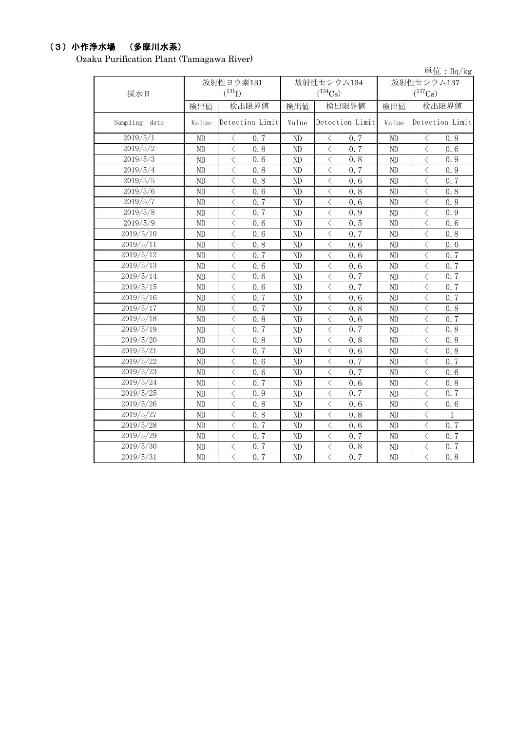## (3)小作浄水場 (多摩川水系)

Ozaku Purification Plant (Tamagawa River)

|               |          |                                                 |                |                                                 |            | 単位: Bq/kg                                                                                                                                                                           |  |
|---------------|----------|-------------------------------------------------|----------------|-------------------------------------------------|------------|-------------------------------------------------------------------------------------------------------------------------------------------------------------------------------------|--|
|               |          | 放射性ヨウ素131                                       |                | 放射性セシウム134                                      | 放射性セシウム137 |                                                                                                                                                                                     |  |
| 採水日           |          | $(^{131}I)$                                     |                | $(^{134}Cs)$                                    |            | $(^{137}Cs)$                                                                                                                                                                        |  |
|               | 検出値      | 検出限界値                                           | 検出値            | 検出限界値                                           | 検出値        | 検出限界値                                                                                                                                                                               |  |
| Sampling date | Value    | Detection Limit                                 | Value          | Detection Limit                                 | Value      | Detection Limit                                                                                                                                                                     |  |
| 2019/5/1      | $\rm ND$ | $\, <\,$<br>0.7                                 | ND             | $\langle$<br>0.7                                | ND         | $\hspace{0.1mm} <\hspace{0.1mm}$<br>0.8                                                                                                                                             |  |
| 2019/5/2      | ND       | $\langle$<br>0.8                                | ND             | $\langle$<br>0.7                                | ND         | $\lt$<br>0.6                                                                                                                                                                        |  |
| 2019/5/3      | ND       | $\langle$<br>0.6                                | ND             | $\langle$<br>0.8                                | ND         | $\lt$<br>0.9                                                                                                                                                                        |  |
| 2019/5/4      | ND       | $\lt$<br>0.8                                    | ND             | $\lt$<br>0.7                                    | ND         | $\langle$<br>0.9                                                                                                                                                                    |  |
| 2019/5/5      | ND       | $\langle$<br>0.8                                | ND             | $\lt$<br>0.6                                    | ND         | $\lt$<br>0.7                                                                                                                                                                        |  |
| 2019/5/6      | ND       | $\lt$<br>0.6                                    | ND             | $\lt$<br>0.8                                    | ND         | $\lt$<br>0.8                                                                                                                                                                        |  |
| 2019/5/7      | ND       | $\langle$<br>0.7                                | ND             | $\langle$<br>0.6                                | ND         | $\lt$<br>0.8                                                                                                                                                                        |  |
| 2019/5/8      | ND       | $\langle$<br>0, 7                               | ND             | $\langle$<br>0.9                                | ND         | $\langle$<br>0.9                                                                                                                                                                    |  |
| 2019/5/9      | ND       | $\lt$<br>0, 6                                   | ND             | $\langle$<br>0.5                                | ND         | $\lt$<br>0, 6                                                                                                                                                                       |  |
| 2019/5/10     | ND       | $\langle$<br>0.6                                | ND             | $\lt$<br>0, 7                                   | ND         | $\langle$<br>0.8                                                                                                                                                                    |  |
| 2019/5/11     | ND       | $\langle$<br>0.8                                | ND             | $\langle$<br>0.6                                | ND         | $\langle$<br>0.6                                                                                                                                                                    |  |
| 2019/5/12     | ND       | $\overline{\left\langle \right\rangle }$<br>0.7 | ND             | $\langle$<br>0.6                                | ND         | $\langle$<br>0.7                                                                                                                                                                    |  |
| 2019/5/13     | ND       | $\langle$<br>0, 6                               | ND             | $\langle$<br>0, 6                               | ND         | $\langle$<br>0.7                                                                                                                                                                    |  |
| 2019/5/14     | ND       | $\langle$<br>0, 6                               | ND             | $\langle$<br>0, 7                               | ND         | $\langle$<br>0.7                                                                                                                                                                    |  |
| 2019/5/15     | ND       | $\langle$<br>0.6                                | ND             | $\lt$<br>0, 7                                   | ND         | $\langle$<br>0.7                                                                                                                                                                    |  |
| 2019/5/16     | ND       | $\overline{\left\langle \right\rangle }$<br>0.7 | ND             | $\lt$<br>0.6                                    | ND         | $\overline{\left\langle \right\rangle }$<br>0, 7                                                                                                                                    |  |
| 2019/5/17     | ND       | $\overline{\langle}$<br>0.7                     | ND             | $\overline{\left\langle \right\rangle }$<br>0.8 | ND         | $\overline{\langle}$<br>0.8                                                                                                                                                         |  |
| 2019/5/18     | ND       | $\langle$<br>0.8                                | ND             | $\lt$<br>0.6                                    | ND         | $\langle$<br>0.7                                                                                                                                                                    |  |
| 2019/5/19     | ND       | $\langle$<br>0, 7                               | ND             | $\langle$<br>0, 7                               | ND         | $\langle$<br>0.8                                                                                                                                                                    |  |
| 2019/5/20     | ND       | $\langle$<br>0.8                                | ND             | $\langle$<br>0.8                                | ND         | $\langle$<br>0.8                                                                                                                                                                    |  |
| 2019/5/21     | ND       | $\langle$<br>0.7                                | ND             | $\langle$<br>0.6                                | ND         | $\,$ $\,$ $\,$<br>0.8                                                                                                                                                               |  |
| 2019/5/22     | ND       | $\langle$<br>0.6                                | ND             | $\overline{\langle}$<br>0.7                     | ND         | $\,$ $\,$ $\,$<br>0.7                                                                                                                                                               |  |
| 2019/5/23     | ND       | $\,$ $\,$ $\,$<br>0.6                           | ND             | $\overline{\left\langle \right\rangle }$<br>0.7 | ND         | $\overline{\left\langle \right. }% ,\left\langle \overline{\left\langle \right. }% ,\left\langle \overline{\left\langle \right. }\right\rangle \right\rangle \left. \right.$<br>0.6 |  |
| 2019/5/24     | ND       | $\,$ $\,$ $\,$<br>0.7                           | ND             | $\overline{\left\langle \right\rangle }$<br>0.6 | ND         | $\,$ $\,$ $\,$<br>0.8                                                                                                                                                               |  |
| 2019/5/25     | ND       | $\langle$<br>0.9                                | ND             | $\lt$<br>0.7                                    | ND         | $\langle$<br>0.7                                                                                                                                                                    |  |
| 2019/5/26     | ND       | $\lt$<br>0.8                                    | ND             | $\lt$<br>0.6                                    | ND         | $\lt$<br>0.6                                                                                                                                                                        |  |
| 2019/5/27     | ND       | $\overline{\left\langle \right\rangle }$<br>0.8 | ND             | $\langle$<br>0.8                                | ND         | $\overline{\left\langle \right\rangle }$<br>$\mathbf{1}$                                                                                                                            |  |
| 2019/5/28     | ND       | $\overline{\langle}$<br>0.7                     | ND             | $\lt$<br>0.6                                    | ND         | $\overline{\langle}$<br>0.7                                                                                                                                                         |  |
| 2019/5/29     | ND       | $\,$ $\,$ $\,$<br>0.7                           | ND             | $\,$ $\,$ $\,$<br>0.7                           | ND         | $\,$ $\,$ $\,$<br>0.7                                                                                                                                                               |  |
| 2019/5/30     | ND       | $\langle$<br>0, 7                               | ND             | $\lt$<br>0.8                                    | ND         | $\overline{\left\langle \right\rangle }$<br>0.7                                                                                                                                     |  |
| 2019/5/31     | ND       | $\langle$<br>0.7                                | N <sub>D</sub> | $\langle$<br>0.7                                | ND         | $\lt$<br>0.8                                                                                                                                                                        |  |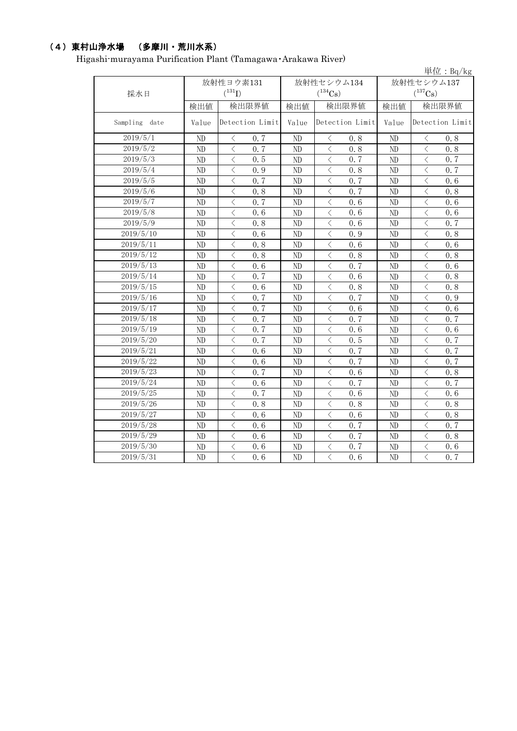## (4)東村山浄水場 (多摩川・荒川水系)

Higashi-murayama Purification Plant (Tamagawa・Arakawa River)

|               |                |                                                 |       |                                                 |            | 単位: $Bq/kg$                                                                                                                                                                                                                                                                                                                                                                                                                                                                                                                                                                                                                                                                               |  |
|---------------|----------------|-------------------------------------------------|-------|-------------------------------------------------|------------|-------------------------------------------------------------------------------------------------------------------------------------------------------------------------------------------------------------------------------------------------------------------------------------------------------------------------------------------------------------------------------------------------------------------------------------------------------------------------------------------------------------------------------------------------------------------------------------------------------------------------------------------------------------------------------------------|--|
|               |                | 放射性ヨウ素131                                       |       | 放射性セシウム134                                      | 放射性セシウム137 |                                                                                                                                                                                                                                                                                                                                                                                                                                                                                                                                                                                                                                                                                           |  |
| 採水日           |                | $(^{131}I)$                                     |       | $(^{134}\mathrm{Cs})$                           |            | $(^{137}\mathrm{Cs})$                                                                                                                                                                                                                                                                                                                                                                                                                                                                                                                                                                                                                                                                     |  |
|               | 検出値            | 検出限界値                                           | 検出値   | 検出限界値                                           | 検出値        | 検出限界値                                                                                                                                                                                                                                                                                                                                                                                                                                                                                                                                                                                                                                                                                     |  |
| Sampling date | Value          | Detection Limit                                 | Value | Detection Limit                                 | Value      | Detection Limit                                                                                                                                                                                                                                                                                                                                                                                                                                                                                                                                                                                                                                                                           |  |
| 2019/5/1      | ND             | 0.7<br>$\lt$                                    | ND    | 0.8<br>$\langle$                                | ND         | 0.8<br>$\lt$                                                                                                                                                                                                                                                                                                                                                                                                                                                                                                                                                                                                                                                                              |  |
| 2019/5/2      | ND             | $\langle$<br>0.7                                | ND    | 0.8<br>$\langle$                                | $\rm ND$   | $\lt$<br>0.8                                                                                                                                                                                                                                                                                                                                                                                                                                                                                                                                                                                                                                                                              |  |
| 2019/5/3      | ND             | $\langle$<br>0.5                                | ND    | $\, <\,$<br>0.7                                 | ND         | $\lt$<br>0.7                                                                                                                                                                                                                                                                                                                                                                                                                                                                                                                                                                                                                                                                              |  |
| 2019/5/4      | ND             | 0.9<br>$\langle$                                | ND    | 0.8<br>$\, < \,$                                | ND         | $\lt$<br>0.7                                                                                                                                                                                                                                                                                                                                                                                                                                                                                                                                                                                                                                                                              |  |
| 2019/5/5      | ND             | $\langle$<br>0.7                                | ND    | 0.7<br>$\hspace{0.1mm} <$                       | $\rm ND$   | $\lt$<br>0.6                                                                                                                                                                                                                                                                                                                                                                                                                                                                                                                                                                                                                                                                              |  |
| 2019/5/6      | ND             | $\lt$<br>0.8                                    | ND    | $\lt$<br>0.7                                    | $\rm ND$   | $\lt$<br>0.8                                                                                                                                                                                                                                                                                                                                                                                                                                                                                                                                                                                                                                                                              |  |
| 2019/5/7      | N <sub>D</sub> | 0.7<br>$\langle$                                | ND    | $\langle$<br>0.6                                | ND         | $\langle$<br>0.6                                                                                                                                                                                                                                                                                                                                                                                                                                                                                                                                                                                                                                                                          |  |
| 2019/5/8      | ND             | $\langle$<br>0.6                                | ND    | $\,<\,$<br>0.6                                  | ND         | $\langle$<br>0.6                                                                                                                                                                                                                                                                                                                                                                                                                                                                                                                                                                                                                                                                          |  |
| 2019/5/9      | ND             | $\langle$<br>0.8                                | ND    | $\langle$<br>0.6                                | ND         | $\langle$<br>0, 7                                                                                                                                                                                                                                                                                                                                                                                                                                                                                                                                                                                                                                                                         |  |
| 2019/5/10     | ND             | $\lt$<br>0.6                                    | ND    | $\,$ $\,$ $\,$<br>0.9                           | ND         | $\langle$<br>0.8                                                                                                                                                                                                                                                                                                                                                                                                                                                                                                                                                                                                                                                                          |  |
| 2019/5/11     | ND             | $\langle$<br>0.8                                | ND    | $\lt$<br>0.6                                    | ND         | $\lt$<br>0.6                                                                                                                                                                                                                                                                                                                                                                                                                                                                                                                                                                                                                                                                              |  |
| 2019/5/12     | ND             | $\langle$<br>0.8                                | ND    | $\langle$<br>0.8                                | ND         | $\lt$<br>0.8                                                                                                                                                                                                                                                                                                                                                                                                                                                                                                                                                                                                                                                                              |  |
| 2019/5/13     | ND             | $\langle$<br>0.6                                | ND    | $\overline{\left\langle \right\rangle }$<br>0.7 | ND         | $\overline{\left\langle \right\rangle }$<br>0.6                                                                                                                                                                                                                                                                                                                                                                                                                                                                                                                                                                                                                                           |  |
| 2019/5/14     | ND             | $\lt$<br>0.7                                    | ND    | $\langle$<br>0.6                                | $\rm ND$   | $\lt$<br>0.8                                                                                                                                                                                                                                                                                                                                                                                                                                                                                                                                                                                                                                                                              |  |
| 2019/5/15     | ND             | $\langle$<br>0.6                                | ND    | $\,<\,$<br>0.8                                  | ND         | $\langle$<br>0.8                                                                                                                                                                                                                                                                                                                                                                                                                                                                                                                                                                                                                                                                          |  |
| 2019/5/16     | ND             | $\langle$<br>0.7                                | ND    | $\langle$<br>0.7                                | ND         | $\lt$<br>0.9                                                                                                                                                                                                                                                                                                                                                                                                                                                                                                                                                                                                                                                                              |  |
| 2019/5/17     | ND             | $\langle$<br>0.7                                | ND    | $\lt$<br>0.6                                    | ND         | $\lt$<br>0.6                                                                                                                                                                                                                                                                                                                                                                                                                                                                                                                                                                                                                                                                              |  |
| 2019/5/18     | ND             | $\langle$<br>0.7                                | ND    | 0.7<br>$\lt$                                    | ND         | $\overline{\left\langle \right\rangle }$<br>0.7                                                                                                                                                                                                                                                                                                                                                                                                                                                                                                                                                                                                                                           |  |
| 2019/5/19     | ND             | $\langle$<br>0.7                                | ND    | $\lt$<br>0.6                                    | ND         | $\langle$<br>0.6                                                                                                                                                                                                                                                                                                                                                                                                                                                                                                                                                                                                                                                                          |  |
| 2019/5/20     | ND             | $\langle$<br>0, 7                               | ND    | $\langle$<br>0.5                                | ND         | $\overline{\langle}$<br>0.7                                                                                                                                                                                                                                                                                                                                                                                                                                                                                                                                                                                                                                                               |  |
| 2019/5/21     | ND             | $\langle$<br>0.6                                | ND    | $\overline{\left\langle \right\rangle }$<br>0.7 | ND         | $\overline{\left\langle \right\rangle }$<br>0.7                                                                                                                                                                                                                                                                                                                                                                                                                                                                                                                                                                                                                                           |  |
| 2019/5/22     | ND             | $\langle$<br>0.6                                | ND    | $\lt$<br>0.7                                    | ND         | $\langle$<br>0.7                                                                                                                                                                                                                                                                                                                                                                                                                                                                                                                                                                                                                                                                          |  |
| 2019/5/23     | ND             | $\langle$<br>0.7                                | ND    | $\langle$<br>0.6                                | ND         | $\langle$<br>0.8                                                                                                                                                                                                                                                                                                                                                                                                                                                                                                                                                                                                                                                                          |  |
| 2019/5/24     | ND             | $\lt$<br>0.6                                    | ND    | $\lt$<br>0.7                                    | ND         | $\overline{\left\langle \right. }% ,\left\langle \overline{\left\langle \right. }% ,\left\langle \overline{\left\langle \right. }\right\rangle \right\rangle \left. \right.$<br>0.7                                                                                                                                                                                                                                                                                                                                                                                                                                                                                                       |  |
| 2019/5/25     | ND             | $\langle$<br>0.7                                | ND    | $\langle$<br>0.6                                | ND         | $\overline{\left\langle \right\rangle }$<br>0.6                                                                                                                                                                                                                                                                                                                                                                                                                                                                                                                                                                                                                                           |  |
| 2019/5/26     | ND             | $\langle$<br>0.8                                | ND    | $\,$ $\,$ $\,$<br>0.8                           | ND         | $\overline{\left\langle \right. }% ,\left\langle \overline{\left\langle \right. }\right\rangle _{0}\right\langle \left. \overline{\left\langle \right. }\right\rangle _{0}\left\langle \overline{\left\langle \right. }\right\rangle _{0}\left\langle \overline{\left\langle \right. }\right\rangle _{0}\left\langle \overline{\left\langle \right. }\right\rangle _{0}\left\langle \overline{\left\langle \right. }\right\rangle _{0}\left\langle \overline{\left\langle \right. }\right\rangle _{0}\left\langle \overline{\left\langle \right. }\right\rangle _{0}\left\langle \overline{\left\langle \right. }\right\rangle _{0}\left\langle \overline{\left\langle \right. }\$<br>0.8 |  |
| 2019/5/27     | ND             | $\langle$<br>0.6                                | ND    | $\overline{\left\langle \right\rangle }$<br>0.6 | ND         | $\overline{\left\langle \right\rangle }$<br>0.8                                                                                                                                                                                                                                                                                                                                                                                                                                                                                                                                                                                                                                           |  |
| 2019/5/28     | ND             | $\langle$<br>0.6                                | ND    | $\overline{\langle}$<br>0.7                     | ND         | $\langle$<br>0.7                                                                                                                                                                                                                                                                                                                                                                                                                                                                                                                                                                                                                                                                          |  |
| 2019/5/29     | ND             | $\overline{\left\langle \right\rangle }$<br>0.6 | ND    | $\,$ $\,$ $\,$<br>0.7                           | ND         | $\overline{\left\langle \right\rangle }$<br>0.8                                                                                                                                                                                                                                                                                                                                                                                                                                                                                                                                                                                                                                           |  |
| 2019/5/30     | ND             | $\langle$<br>0.6                                | ND    | $\lt$<br>0.7                                    | ND         | $\langle$<br>0.6                                                                                                                                                                                                                                                                                                                                                                                                                                                                                                                                                                                                                                                                          |  |
| 2019/5/31     | ND             | $\overline{\langle}$<br>0.6                     | ND    | $\langle$<br>0.6                                | ND         | $\langle$<br>0, 7                                                                                                                                                                                                                                                                                                                                                                                                                                                                                                                                                                                                                                                                         |  |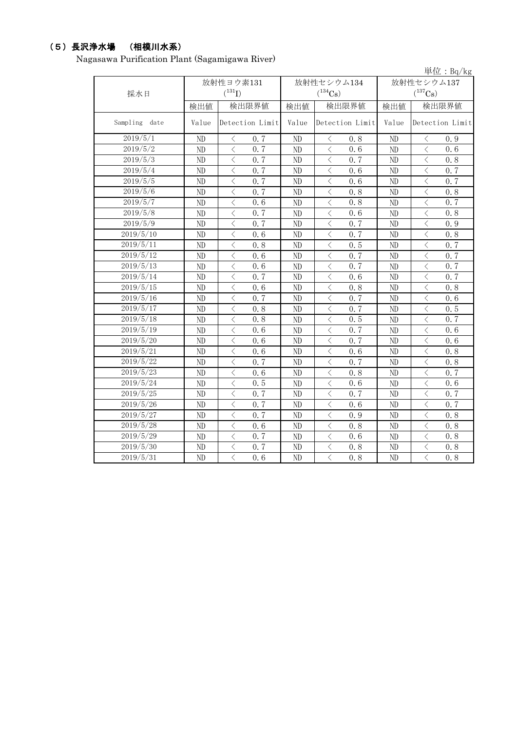## (5)長沢浄水場 (相模川水系)

Nagasawa Purification Plant (Sagamigawa River)

|                        |                |                                                  |                |                                                  |                | 単位: $Bq/kg$                                     |  |
|------------------------|----------------|--------------------------------------------------|----------------|--------------------------------------------------|----------------|-------------------------------------------------|--|
|                        |                | 放射性ヨウ素131                                        |                | 放射性セシウム134                                       | 放射性セシウム137     |                                                 |  |
| 採水日                    |                | $(^{131}I)$                                      |                | $(^{134}Cs)$                                     |                | $(^{137}Cs)$                                    |  |
|                        | 検出値            | 検出限界値                                            | 検出値            | 検出限界値                                            | 検出値            | 検出限界値                                           |  |
| Sampling date          | Value          | Detection Limit                                  | Value          | Detection Limit                                  | Value          | Detection Limit                                 |  |
| 2019/5/1               | ND             | $\lt$<br>0, 7                                    | ND             | 0.8<br>$\langle$                                 | ND             | $\lt$<br>0.9                                    |  |
| 2019/5/2               | ND             | $\langle$<br>0.7                                 | ND             | $\lt$<br>0, 6                                    | ND             | $\,$ $\,$ $\,$<br>0, 6                          |  |
| 2019/5/3               | ND             | $\langle$<br>0.7                                 | ND             | $\langle$<br>0.7                                 | ND             | $\lt$<br>0.8                                    |  |
| 2019/5/4               | ND             | $\langle$<br>0.7                                 | ND             | $\lt$<br>0.6                                     | ND             | $\langle$<br>0.7                                |  |
| 2019/5/5               | ND             | $\lt$<br>0.7                                     | ND             | $\lt$<br>0.6                                     | ND             | $\langle$<br>0.7                                |  |
| 2019/5/6               | ND             | $\langle$<br>0, 7                                | N <sub>D</sub> | $\langle$<br>0, 8                                | ND             | $\langle$<br>0, 8                               |  |
| 2019/5/7               | ND             | $\langle$<br>0.6                                 | ND             | $\lt$<br>0.8                                     | ND             | $\lt$<br>0.7                                    |  |
| 2019/5/8               | ND             | $\lt$<br>0.7                                     | ND             | $\lt$<br>0.6                                     | ND             | $\lt$<br>0.8                                    |  |
| 2019/5/9               | ND             | $\langle$<br>0.7                                 | ND             | $\langle$<br>0.7                                 | ND             | $\lt$<br>0.9                                    |  |
| 2019/5/10              | ND             | $\langle$<br>0.6                                 | ND             | $\lt$<br>0.7                                     | ND             | $\lt$<br>0.8                                    |  |
| 2019/5/11              | ND             | $\langle$<br>0.8                                 | ND             | $\overline{\left\langle \right\rangle }$<br>0.5  | ND             | $\langle$<br>0.7                                |  |
| 2019/5/12              | ND             | $\langle$<br>0.6                                 | ND             | $\lt$<br>0.7                                     | $\rm ND$       | $\lt$<br>0.7                                    |  |
| 2019/5/13              | ND             | $\lt$<br>0.6                                     | ND             | $\lt$<br>0.7                                     | $\rm ND$       | $\lt$<br>0.7                                    |  |
| 2019/5/14              | ND             | $\langle$<br>0, 7                                | ND             | $\langle$<br>0.6                                 | ND             | $\langle$<br>0.7                                |  |
| $2019/5/\overline{15}$ | ND             | $\lt$<br>0, 6                                    | ND             | $\lt$<br>0.8                                     | ND             | $\lt$<br>0.8                                    |  |
| 2019/5/16              | ND             | $\lt$<br>0, 7                                    | ND             | $\lt$<br>0, 7                                    | ND             | $\langle$<br>0.6                                |  |
| 2019/5/17              | N <sub>D</sub> | $\lt$<br>0.8                                     | N <sub>D</sub> | $\lt$<br>0.7                                     | N <sub>D</sub> | $\langle$<br>0.5                                |  |
| 2019/5/18              | ND             | $\langle$<br>0.8                                 | ND             | $\overline{\left\langle \right\rangle }$<br>0.5  | ND             | $\overline{\left\langle \right\rangle }$<br>0.7 |  |
| 2019/5/19              | ND             | $\langle$<br>0.6                                 | ND             | $\langle$<br>0, 7                                | ND             | $\overline{\left\langle \right\rangle }$<br>0.6 |  |
| 2019/5/20              | ND             | $\lt$<br>0.6                                     | ND             | $\langle$<br>0.7                                 | ND             | $\langle$<br>0.6                                |  |
| 2019/5/21              | ND             | $\overline{\left\langle \right\rangle }$<br>0.6  | ND             | $\overline{\left\langle \right\rangle }$<br>0.6  | ND             | $\overline{\left\langle \right\rangle }$<br>0.8 |  |
| 2019/5/22              | ND             | $\overline{\left\langle \right\rangle }$<br>0, 7 | N <sub>D</sub> | $\overline{\left\langle \right\rangle }$<br>0, 7 | ND             | $\langle$<br>0.8                                |  |
| 2019/5/23              | ND             | $\langle$<br>0, 6                                | ND             | $\lt$<br>0, 8                                    | ND             | $\langle$<br>0.7                                |  |
| 2019/5/24              | ND             | $\lt$<br>0.5                                     | ND             | $\lt$<br>0.6                                     | ND             | $\langle$<br>0.6                                |  |
| 2019/5/25              | ND             | $\lt$<br>0.7                                     | ND             | $\lt$<br>0.7                                     | ND             | $\lt$<br>0.7                                    |  |
| 2019/5/26              | ND             | $\overline{\langle}$<br>0.7                      | ND             | $\overline{\left\langle \right\rangle }$<br>0.6  | ND             | $\langle$<br>0.7                                |  |
| 2019/5/27              | ND             | $\langle$<br>0.7                                 | ND             | $\lt$<br>0.9                                     | ND             | $\langle$<br>0.8                                |  |
| 2019/5/28              | ND             | $\langle$<br>0.6                                 | ND             | 0.8<br>$\lt$                                     | ND             | $\langle$<br>0.8                                |  |
| 2019/5/29              | ND             | $\,$ $\,$ $\,$<br>0.7                            | ND             | $\overline{\left\langle \right\rangle }$<br>0.6  | ND             | $\,$ $\,$ $\,$<br>0.8                           |  |
| 2019/5/30              | ND             | $\lt$<br>0.7                                     | ND             | $\lt$<br>0.8                                     | ND             | $\,$ $\,$ $\,$<br>0.8                           |  |
| 2019/5/31              | ND             | $\langle$<br>0.6                                 | ND             | $\overline{\left\langle \right\rangle }$<br>0.8  | ND             | $\overline{\langle}$<br>0.8                     |  |